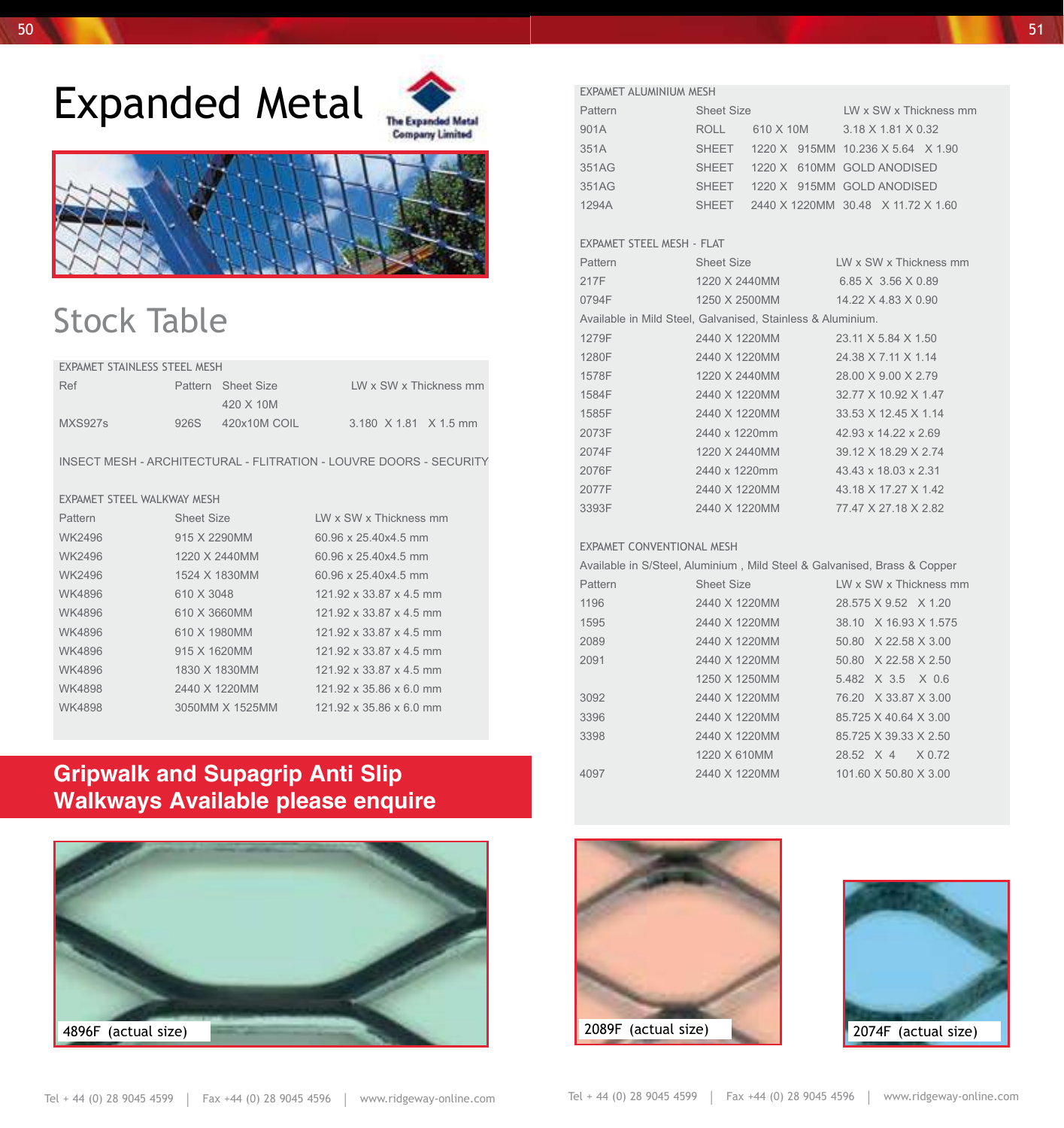## Expanded Metal





### Stock Table

#### EXPAMET STAINLESS STEEL MESH

| Ref     |      | Pattern Sheet Size | LW x SW x Thickness mm |
|---------|------|--------------------|------------------------|
|         |      | 420 X 10M          |                        |
| MXS927s | 926S | 420x10M COIL       | 3.180 X 1.81 X 1.5 mm  |

INSECT MESH - ARCHITECTURAL - FLITRATION - LOUVRE DOORS - SECURITY

#### EXPAMET STEEL WALKWAY MESH

| Pattern       | Sheet Size      | LW x SW x Thickness mm  |
|---------------|-----------------|-------------------------|
| WK2496        | 915 X 2290MM    | 60.96 x 25.40x4.5 mm    |
| WK2496        | 1220 X 2440MM   | 60.96 x 25.40x4.5 mm    |
| WK2496        | 1524 X 1830MM   | 60.96 x 25.40x4.5 mm    |
| WK4896        | 610 X 3048      | 121.92 x 33.87 x 4.5 mm |
| WK4896        | 610 X 3660MM    | 121 92 x 33 87 x 4.5 mm |
| WK4896        | 610 X 1980MM    | 121.92 x 33.87 x 4.5 mm |
| WK4896        | 915 X 1620MM    | 121 92 x 33 87 x 4.5 mm |
| WK4896        | 1830 X 1830MM   | 121.92 x 33.87 x 4.5 mm |
| <b>WK4898</b> | 2440 X 1220MM   | 121.92 x 35.86 x 6.0 mm |
| <b>WK4898</b> | 3050MM X 1525MM | 121.92 x 35.86 x 6.0 mm |

#### **Gripwalk and Supagrip Anti Slip Walkways Available please enquire**



| EXPAMET ALUMINIUM MESH                                      |                                          |  |                        |  |                      |                        |  |
|-------------------------------------------------------------|------------------------------------------|--|------------------------|--|----------------------|------------------------|--|
| Pattern                                                     | Sheet Size                               |  | LW x SW x Thickness mm |  |                      |                        |  |
| 901A                                                        | ROLL 610 X 10M 3.18 X 1.81 X 0.32        |  |                        |  |                      |                        |  |
| 351A                                                        | SHEET 1220 X 915MM 10.236 X 5.64 X 1.90  |  |                        |  |                      |                        |  |
| 351AG                                                       | SHEET 1220 X 610MM GOLD ANODISED         |  |                        |  |                      |                        |  |
| 351AG                                                       | SHEET 1220 X 915MM GOLD ANODISED         |  |                        |  |                      |                        |  |
| 1294A                                                       | SHEET 2440 X 1220MM 30.48 X 11.72 X 1.60 |  |                        |  |                      |                        |  |
|                                                             |                                          |  |                        |  |                      |                        |  |
| EXPAMET STEEL MESH - FLAT                                   |                                          |  |                        |  |                      |                        |  |
| Pattern                                                     | Sheet Size                               |  |                        |  |                      | LW x SW x Thickness mm |  |
| 217F                                                        | 1220 X 2440MM                            |  |                        |  | 6.85 X 3.56 X 0.89   |                        |  |
| 0794F                                                       | 1250 X 2500MM 14.22 X 4.83 X 0.90        |  |                        |  |                      |                        |  |
| Available in Mild Steel, Galvanised, Stainless & Aluminium. |                                          |  |                        |  |                      |                        |  |
| 1279F                                                       | 2440 X 1220MM 23.11 X 5.84 X 1.50        |  |                        |  |                      |                        |  |
| 1280F                                                       | 2440 X 1220MM 24.38 X 7.11 X 1.14        |  |                        |  |                      |                        |  |
| 1578F                                                       | 1220 X 2440MM 28.00 X 9.00 X 2.79        |  |                        |  |                      |                        |  |
| 1584F                                                       | 2440 X 1220MM                            |  |                        |  | 32.77 X 10.92 X 1.47 |                        |  |
| 1585F                                                       | 2440 X 1220MM                            |  |                        |  | 33.53 X 12.45 X 1.14 |                        |  |
| 2073F                                                       | 2440 x 1220mm                            |  |                        |  | 42.93 x 14.22 x 2.69 |                        |  |
| 2074F                                                       | 1220 X 2440MM                            |  |                        |  | 39.12 X 18.29 X 2.74 |                        |  |
| 2076F                                                       | 2440 x 1220mm                            |  |                        |  | 43.43 x 18.03 x 2.31 |                        |  |
| 2077F                                                       | 2440 X 1220MM 43.18 X 17.27 X 1.42       |  |                        |  |                      |                        |  |
| 3393F                                                       | 2440 X 1220MM 77.47 X 27.18 X 2.82       |  |                        |  |                      |                        |  |
|                                                             |                                          |  |                        |  |                      |                        |  |
| <b>EXPAMET CONVENTIONAL MESH</b>                            |                                          |  |                        |  |                      |                        |  |

#### EXPAMET coNvENTIoNAL MESH

| Available in S/Steel, Aluminium, Mild Steel & Galvanised, Brass & Copper |               |                        |  |  |  |
|--------------------------------------------------------------------------|---------------|------------------------|--|--|--|
| Pattern                                                                  | Sheet Size    | LW x SW x Thickness mm |  |  |  |
| 1196                                                                     | 2440 X 1220MM | 28.575 X 9.52 X 1.20   |  |  |  |
| 1595                                                                     | 2440 X 1220MM | 38.10 X 16.93 X 1.575  |  |  |  |
| 2089                                                                     | 2440 X 1220MM | 50.80 X 22.58 X 3.00   |  |  |  |
| 2091                                                                     | 2440 X 1220MM | 50.80 X 22.58 X 2.50   |  |  |  |
|                                                                          | 1250 X 1250MM | 5.482 X 3.5 X 0.6      |  |  |  |
| 3092                                                                     | 2440 X 1220MM | 76.20 X 33.87 X 3.00   |  |  |  |
| 3396                                                                     | 2440 X 1220MM | 85.725 X 40.64 X 3.00  |  |  |  |
| 3398                                                                     | 2440 X 1220MM | 85.725 X 39.33 X 2.50  |  |  |  |
|                                                                          | 1220 X 610MM  | 28.52 X 4 X 0.72       |  |  |  |
| 4097                                                                     | 2440 X 1220MM | 101.60 X 50.80 X 3.00  |  |  |  |